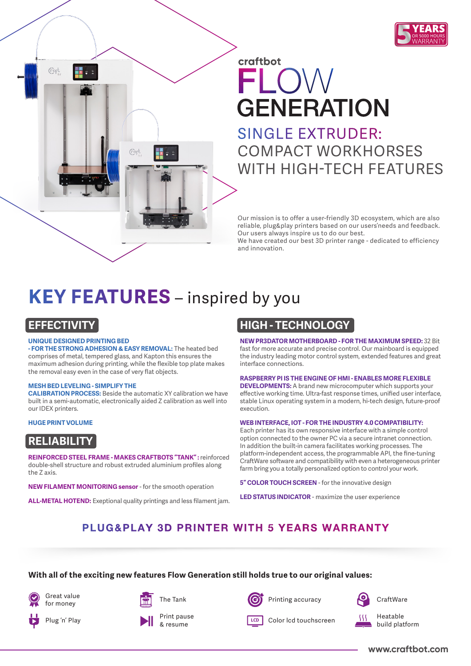

# craftbot  $E[\bigcap X]/$ **GENERATION** SINGLE EXTRUDER:

COMPACT WORKHORSES WITH HIGH-TECH FEATURES

Our mission is to offer a user-friendly 3D ecosystem, which are also reliable, plug&play printers based on our users'needs and feedback. Our users always inspire us to do our best.

We have created our best 3D printer range - dedicated to efficiency and innovation.

# **KEY FEATURES** – inspired by you

## **EFFECTIVITY**

(Fact

#### **UNIQUE DESIGNED PRINTING BED**

**- FOR THE STRONG ADHESION & EASY REMOVAL:** The heated bed comprises of metal, tempered glass, and Kapton this ensures the maximum adhesion during printing, while the flexible top plate makes the removal easy even in the case of very flat objects.

(Fart

#### **MESH BED LEVELING - SIMPLIFY THE**

**CALIBRATION PROCESS:** Beside the automatic XY calibration we have built in a semi-automatic, electronically aided Z calibration as well into our IDEX printers.

#### **HUGE PRINT VOLUME**

## **RELIABILITY**

**REINFORCED STEEL FRAME - MAKES CRAFTBOTS "TANK" :** reinforced double-shell structure and robust extruded aluminium profiles along the Z axis.

**NEW FILAMENT MONITORING sensor** - for the smooth operation

**ALL-METAL HOTEND:** Exeptional quality printings and less filament jam.

### **HIGH - TECHNOLOGY**

**NEW PR3DATOR MOTHERBOARD - FOR THE MAXIMUM SPEED:** 32 Bit fast for more accurate and precise control. Our mainboard is equipped the industry leading motor control system, extended features and great interface connections.

#### **RASPBERRY PI IS THE ENGINE OF HMI - ENABLES MORE FLEXIBLE**

**DEVELOPMENTS:** A brand new microcomputer which supports your effective working time. Ultra-fast response times, unified user interface, stable Linux operating system in a modern, hi-tech design, future-proof execution.

#### **WEB INTERFACE, IOT - FOR THE INDUSTRY 4.0 COMPATIBILITY:**

Each printer has its own responsive interface with a simple control option connected to the owner PC via a secure intranet connection. In addition the built-in camera facilitates working processes. The platform-independent access, the programmable API, the fine-tuning CraftWare software and compatibility with even a heterogeneous printer farm bring you a totally personalized option to control your work.

**5" COLOR TOUCH SCREEN** - for the innovative design

**LED STATUS INDICATOR** - maximize the user experience

## PLUG&PLAY 3D PRINTER WITH 5 YEARS WARRANTY

#### **With all of the exciting new features Flow Generation still holds true to our original values:**

Great value for money

Plug 'n' Play









**LCD** Color lcd touchscreen



**CraftWare** 

Heatable build platform

**www.craftbot.com**